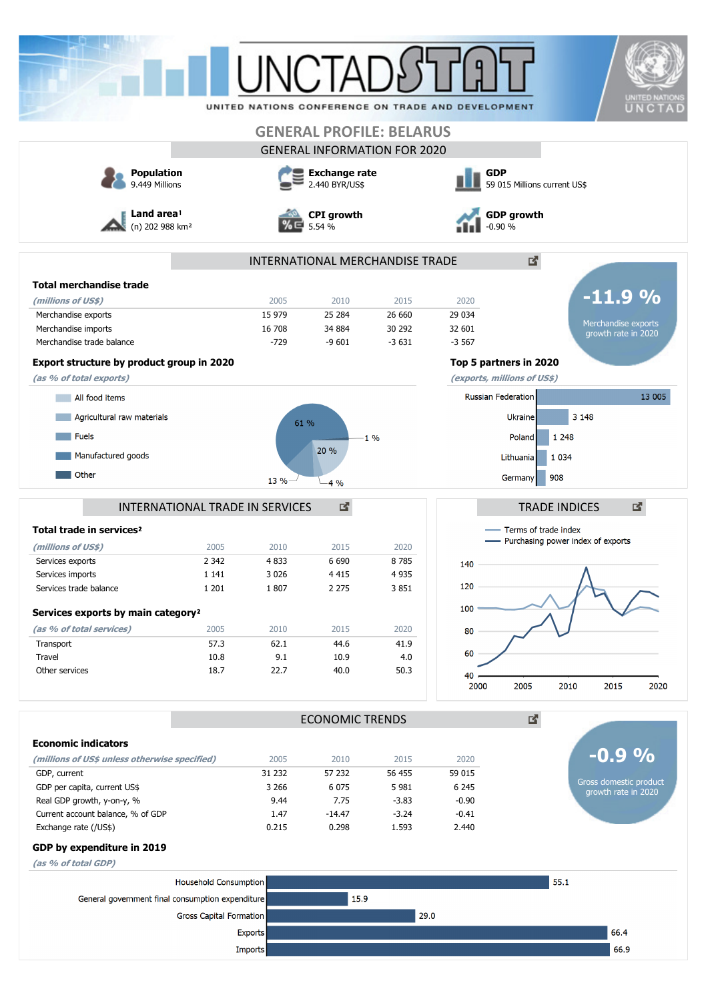|                                                  |                                 |                             |                        |                                     |                                                    |                                     | <b>UNITED NATIONS</b>                         |  |
|--------------------------------------------------|---------------------------------|-----------------------------|------------------------|-------------------------------------|----------------------------------------------------|-------------------------------------|-----------------------------------------------|--|
|                                                  |                                 |                             |                        |                                     | UNITED NATIONS CONFERENCE ON TRADE AND DEVELOPMENT |                                     | UNCTAD                                        |  |
|                                                  |                                 |                             |                        | <b>GENERAL PROFILE: BELARUS</b>     |                                                    |                                     |                                               |  |
|                                                  |                                 |                             |                        | <b>GENERAL INFORMATION FOR 2020</b> |                                                    |                                     |                                               |  |
| <b>Population</b>                                |                                 |                             | <b>Exchange rate</b>   |                                     | <b>GDP</b>                                         |                                     |                                               |  |
| 9.449 Millions                                   |                                 |                             | 2.440 BYR/US\$         |                                     |                                                    | 59 015 Millions current US\$        |                                               |  |
| Land area!<br>(n) 202 988 km <sup>2</sup>        |                                 | <b>CPI</b> growth<br>5.54 % |                        |                                     | <b>GDP growth</b><br>$-0.90%$                      |                                     |                                               |  |
|                                                  |                                 |                             |                        | INTERNATIONAL MERCHANDISE TRADE     |                                                    | Δ.                                  |                                               |  |
| <b>Total merchandise trade</b>                   |                                 |                             |                        |                                     |                                                    |                                     |                                               |  |
| (millions of US\$)                               |                                 | 2005                        | 2010                   | 2015                                | 2020                                               |                                     | $-11.9%$                                      |  |
| Merchandise exports                              |                                 | 15 979                      | 25 284                 | 26 660                              | 29 0 34                                            |                                     |                                               |  |
| Merchandise imports                              |                                 | 16 708                      | 34 884                 | 30 292                              | 32 601                                             |                                     | Merchandise exports<br>growth rate in 2020    |  |
| Merchandise trade balance                        |                                 | $-729$                      | $-9601$                | $-3631$                             | $-3567$                                            |                                     |                                               |  |
| Export structure by product group in 2020        |                                 |                             |                        |                                     | Top 5 partners in 2020                             |                                     |                                               |  |
| (as % of total exports)                          |                                 |                             |                        |                                     | (exports, millions of US\$)                        |                                     |                                               |  |
| All food items                                   |                                 |                             |                        |                                     | <b>Russian Federation</b>                          |                                     | 13 005                                        |  |
| Agricultural raw materials                       |                                 |                             |                        |                                     |                                                    | 3 1 4 8<br>Ukraine                  |                                               |  |
|                                                  |                                 | 61 %                        |                        |                                     |                                                    |                                     |                                               |  |
| <b>Fuels</b>                                     |                                 |                             | 20 %                   | $1\%$                               |                                                    | 1 2 4 8<br>Poland                   |                                               |  |
| Manufactured goods                               |                                 |                             |                        |                                     | Lithuania                                          | 1 0 3 4                             |                                               |  |
| Other                                            |                                 | 13 %                        | 4%                     |                                     | Germany                                            | 908                                 |                                               |  |
|                                                  |                                 |                             |                        |                                     |                                                    |                                     |                                               |  |
|                                                  | INTERNATIONAL TRADE IN SERVICES |                             | 國                      |                                     |                                                    | <b>TRADE INDICES</b>                | 図                                             |  |
| Total trade in services <sup>2</sup>             |                                 |                             |                        |                                     |                                                    | Terms of trade index                |                                               |  |
| (millions of US\$)                               | 2005                            | 2010                        | 2015                   | 2020                                |                                                    | - Purchasing power index of exports |                                               |  |
| Services exports                                 | 2 3 4 2                         | 4833                        | 6 6 9 0                | 8785                                | 140                                                |                                     |                                               |  |
| Services imports                                 | 1 141                           | 3 0 2 6                     | 4 4 1 5                | 4 935                               |                                                    |                                     | Λ                                             |  |
| Services trade balance                           | 1 2 0 1                         | 1807                        | 2 2 7 5                | 3851                                | 120                                                |                                     |                                               |  |
| Services exports by main category <sup>2</sup>   |                                 |                             |                        |                                     | 100                                                |                                     |                                               |  |
|                                                  | 2005                            | 2010                        | 2015                   | 2020                                |                                                    |                                     |                                               |  |
| (as % of total services)<br>Transport            | 57.3                            | 62.1                        | 44.6                   | 41.9                                | 80                                                 |                                     |                                               |  |
| Travel                                           | 10.8                            | 9.1                         | 10.9                   | 4.0                                 | 60                                                 |                                     |                                               |  |
| Other services                                   | 18.7                            | 22.7                        | 40.0                   | 50.3                                | 40                                                 |                                     |                                               |  |
|                                                  |                                 |                             |                        |                                     | 2000                                               | 2005<br>2010                        | 2015<br>2020                                  |  |
|                                                  |                                 |                             | <b>ECONOMIC TRENDS</b> |                                     |                                                    | 國.                                  |                                               |  |
| <b>Economic indicators</b>                       |                                 |                             |                        |                                     |                                                    |                                     |                                               |  |
| (millions of US\$ unless otherwise specified)    |                                 | 2005                        | 2010                   | 2015                                | 2020                                               |                                     | $-0.9\%$                                      |  |
| GDP, current                                     |                                 | 31 232                      | 57 232                 | 56 455                              | 59 015                                             |                                     |                                               |  |
| GDP per capita, current US\$                     |                                 | 3 2 6 6                     | 6 0 7 5                | 5 9 8 1                             | 6 2 4 5                                            |                                     | Gross domestic product<br>growth rate in 2020 |  |
| Real GDP growth, y-on-y, %                       |                                 | 9.44                        | 7.75                   | $-3.83$                             | $-0.90$                                            |                                     |                                               |  |
| Current account balance, % of GDP                |                                 | 1.47                        | $-14.47$               | $-3.24$                             | $-0.41$                                            |                                     |                                               |  |
| Exchange rate (/US\$)                            |                                 | 0.215                       | 0.298                  | 1.593                               | 2.440                                              |                                     |                                               |  |
| GDP by expenditure in 2019                       |                                 |                             |                        |                                     |                                                    |                                     |                                               |  |
| (as % of total GDP)                              |                                 |                             |                        |                                     |                                                    |                                     |                                               |  |
|                                                  | Household Consumption           |                             |                        |                                     |                                                    | 55.1                                |                                               |  |
| General government final consumption expenditure |                                 |                             | 15.9                   |                                     |                                                    |                                     |                                               |  |
|                                                  | Gross Capital Formation         |                             |                        | 29.0                                |                                                    |                                     |                                               |  |
|                                                  |                                 | <b>Exports</b>              |                        |                                     |                                                    |                                     | 66.4                                          |  |
|                                                  |                                 | Imports                     |                        |                                     |                                                    |                                     | 66.9                                          |  |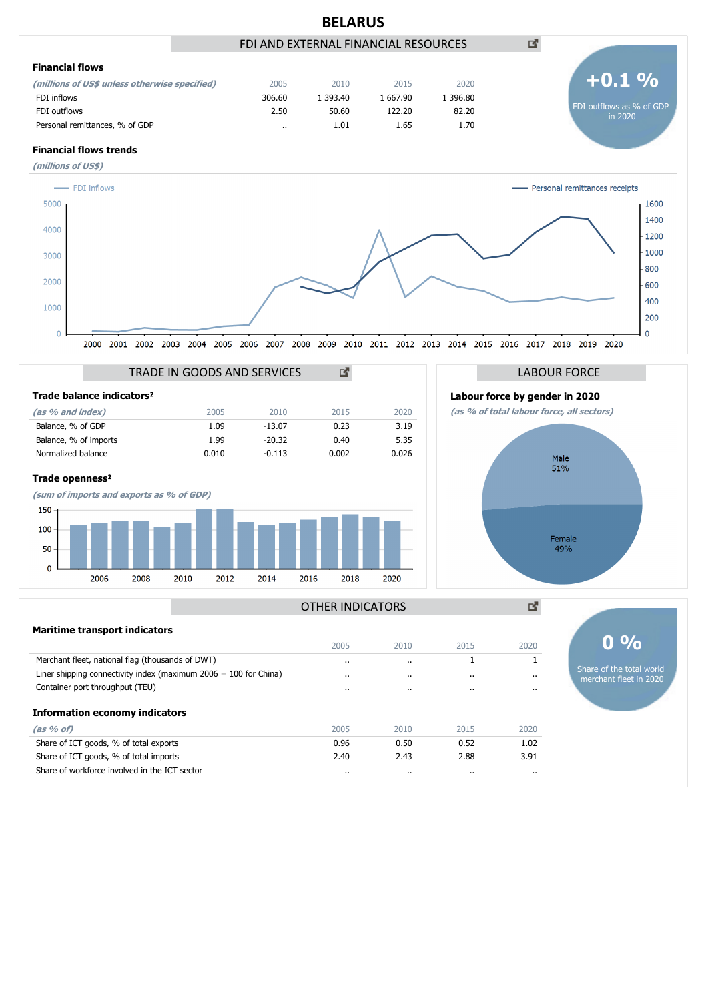

merchant fleet in 2020

# Liner shipping connectivity index (maximum 2006 = 100 for China) .. .. .. .. Container port throughput (TEU) .. .. .. .. **(as % of)** 2005 2010 2015 2020 Share of ICT goods, % of total exports 0.96 0.50 0.52 1.02 Share of ICT goods, % of total imports **2.40** 2.43 2.88 3.91 **Information economy indicators**

Share of workforce involved in the ICT sector .. .. .. ..